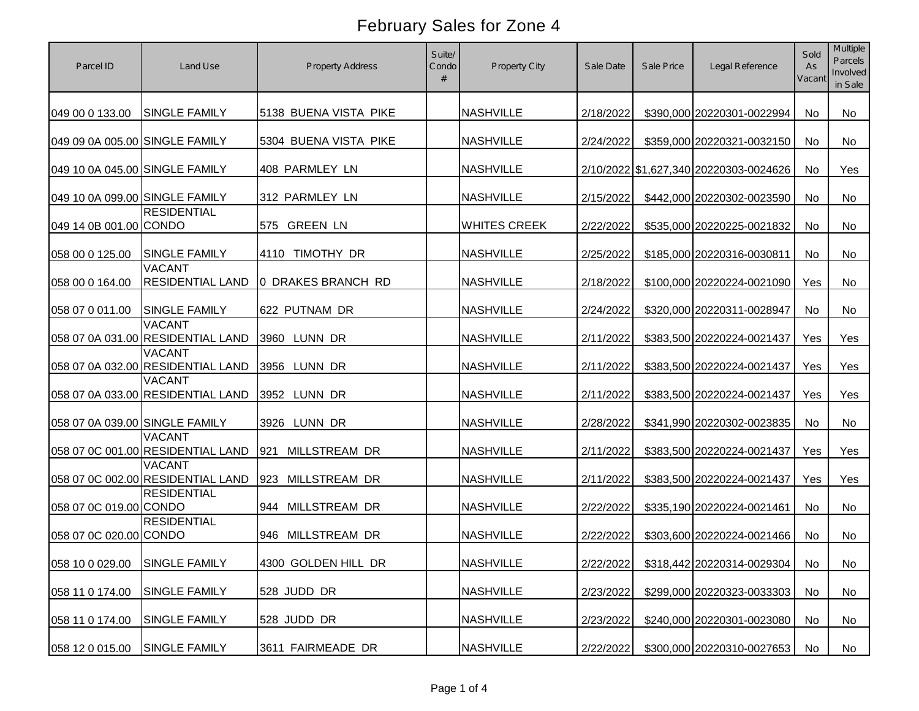| Parcel ID                      | Land Use                                           | <b>Property Address</b> | Suite/<br>Condo<br># | Property City       | Sale Date | Sale Price | Legal Reference                        | Sold<br>As<br>Vacant | Multiple<br>Parcels<br>Involved<br>in Sale |
|--------------------------------|----------------------------------------------------|-------------------------|----------------------|---------------------|-----------|------------|----------------------------------------|----------------------|--------------------------------------------|
| 049 00 0 133.00                | <b>SINGLE FAMILY</b>                               | 5138 BUENA VISTA PIKE   |                      | <b>NASHVILLE</b>    | 2/18/2022 |            | \$390,000 20220301-0022994             | No                   | No                                         |
| 049 09 0A 005.00 SINGLE FAMILY |                                                    | 5304 BUENA VISTA PIKE   |                      | <b>NASHVILLE</b>    | 2/24/2022 |            | \$359,000 20220321-0032150             | No                   | No                                         |
| 049 10 0A 045.00 SINGLE FAMILY |                                                    | 408 PARMLEY LN          |                      | <b>NASHVILLE</b>    |           |            | 2/10/2022 \$1,627,340 20220303-0024626 | No                   | Yes                                        |
| 049 10 0A 099.00 SINGLE FAMILY |                                                    | 312 PARMLEY LN          |                      | <b>NASHVILLE</b>    | 2/15/2022 |            | \$442,000 20220302-0023590             | No                   | No                                         |
| 049 14 0B 001.00 CONDO         | <b>RESIDENTIAL</b>                                 | 575 GREEN LN            |                      | <b>WHITES CREEK</b> | 2/22/2022 |            | \$535,000 20220225-0021832             | No                   | No                                         |
| 058 00 0 125.00                | <b>SINGLE FAMILY</b>                               | 4110 TIMOTHY DR         |                      | <b>NASHVILLE</b>    | 2/25/2022 |            | \$185,000 20220316-0030811             | No                   | No                                         |
| 058 00 0 164.00                | <b>VACANT</b><br><b>RESIDENTIAL LAND</b>           | 0 DRAKES BRANCH RD      |                      | <b>NASHVILLE</b>    | 2/18/2022 |            | \$100,000 20220224-0021090             | Yes                  | No                                         |
| 058 07 0 011.00                | <b>SINGLE FAMILY</b>                               | 622 PUTNAM DR           |                      | <b>NASHVILLE</b>    | 2/24/2022 |            | \$320,000 20220311-0028947             | No                   | No                                         |
|                                | <b>VACANT</b><br>058 07 0A 031.00 RESIDENTIAL LAND | 3960 LUNN DR            |                      | <b>NASHVILLE</b>    | 2/11/2022 |            | \$383,500 20220224-0021437             | Yes                  | Yes                                        |
|                                | <b>VACANT</b><br>058 07 0A 032.00 RESIDENTIAL LAND | 3956 LUNN DR            |                      | <b>NASHVILLE</b>    | 2/11/2022 |            | \$383,500 20220224-0021437             | Yes                  | Yes                                        |
|                                | <b>VACANT</b><br>058 07 0A 033.00 RESIDENTIAL LAND | 3952 LUNN DR            |                      | <b>NASHVILLE</b>    | 2/11/2022 |            | \$383,500 20220224-0021437             | Yes                  | Yes                                        |
| 058 07 0A 039.00 SINGLE FAMILY |                                                    | 3926 LUNN DR            |                      | <b>NASHVILLE</b>    | 2/28/2022 |            | \$341,990 20220302-0023835             | No                   | No                                         |
|                                | <b>VACANT</b><br>058 07 0C 001.00 RESIDENTIAL LAND | 921<br>MILLSTREAM DR    |                      | <b>NASHVILLE</b>    | 2/11/2022 |            | \$383,500 20220224-0021437             | Yes                  | Yes                                        |
|                                | <b>VACANT</b><br>058 07 0C 002.00 RESIDENTIAL LAND | 923 MILLSTREAM DR       |                      | <b>NASHVILLE</b>    | 2/11/2022 |            | \$383,500 20220224-0021437             | Yes                  | Yes                                        |
| 058 07 0C 019.00 CONDO         | <b>RESIDENTIAL</b>                                 | 944 MILLSTREAM DR       |                      | <b>NASHVILLE</b>    | 2/22/2022 |            | \$335,190 20220224-0021461             | No                   | No                                         |
| 058 07 0C 020.00 CONDO         | <b>RESIDENTIAL</b>                                 | 946 MILLSTREAM DR       |                      | <b>NASHVILLE</b>    | 2/22/2022 |            | \$303,600 20220224-0021466             | No                   | No                                         |
| 058 10 0 029.00 SINGLE FAMILY  |                                                    | 4300 GOLDEN HILL DR     |                      | <b>NASHVILLE</b>    | 2/22/2022 |            | \$318,442 20220314-0029304             | No                   | No                                         |
| 058 11 0 174.00                | <b>SINGLE FAMILY</b>                               | 528 JUDD DR             |                      | <b>NASHVILLE</b>    | 2/23/2022 |            | \$299,000 20220323-0033303             | No                   | No                                         |
| 058 11 0 174.00                | <b>SINGLE FAMILY</b>                               | 528 JUDD DR             |                      | <b>NASHVILLE</b>    | 2/23/2022 |            | \$240,000 20220301-0023080             | No                   | No                                         |
| 058 12 0 015.00                | <b>SINGLE FAMILY</b>                               | 3611 FAIRMEADE DR       |                      | <b>NASHVILLE</b>    | 2/22/2022 |            | \$300,000 20220310-0027653             | No                   | No                                         |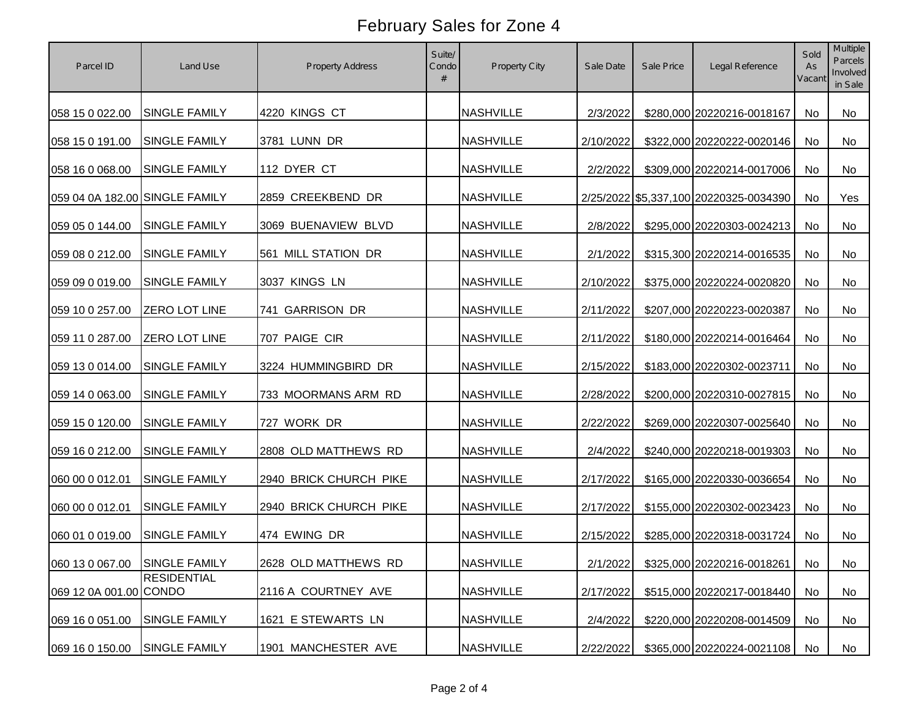| Parcel ID                      | Land Use             | <b>Property Address</b> | Suite/<br>Condo | Property City    | Sale Date | Sale Price | Legal Reference                        | Sold<br>As<br>Vacant | Multiple<br>Parcels<br>Involved<br>in Sale |
|--------------------------------|----------------------|-------------------------|-----------------|------------------|-----------|------------|----------------------------------------|----------------------|--------------------------------------------|
| 058 15 0 022.00                | <b>SINGLE FAMILY</b> | 4220 KINGS CT           |                 | <b>NASHVILLE</b> | 2/3/2022  |            | \$280,000 20220216-0018167             | No                   | <b>No</b>                                  |
| 058 15 0 191.00                | <b>SINGLE FAMILY</b> | 3781 LUNN DR            |                 | <b>NASHVILLE</b> | 2/10/2022 |            | \$322,000 20220222-0020146             | No                   | No                                         |
| 058 16 0 068.00                | <b>SINGLE FAMILY</b> | 112 DYER CT             |                 | <b>NASHVILLE</b> | 2/2/2022  |            | \$309,000 20220214-0017006             | No                   | No                                         |
| 059 04 0A 182.00 SINGLE FAMILY |                      | 2859 CREEKBEND DR       |                 | <b>NASHVILLE</b> |           |            | 2/25/2022 \$5,337,100 20220325-0034390 | No                   | Yes                                        |
| 059 05 0 144.00                | <b>SINGLE FAMILY</b> | 3069 BUENAVIEW BLVD     |                 | <b>NASHVILLE</b> | 2/8/2022  |            | \$295,000 20220303-0024213             | No                   | No                                         |
| 059 08 0 212.00                | <b>SINGLE FAMILY</b> | 561 MILL STATION DR     |                 | <b>NASHVILLE</b> | 2/1/2022  |            | \$315,300 20220214-0016535             | No                   | No                                         |
| 059 09 0 019.00                | <b>SINGLE FAMILY</b> | 3037 KINGS LN           |                 | <b>NASHVILLE</b> | 2/10/2022 |            | \$375,000 20220224-0020820             | No                   | No                                         |
| 059 10 0 257.00                | ZERO LOT LINE        | 741 GARRISON DR         |                 | <b>NASHVILLE</b> | 2/11/2022 |            | \$207,000 20220223-0020387             | No                   | No                                         |
| 059 11 0 287.00                | <b>ZERO LOT LINE</b> | 707 PAIGE CIR           |                 | <b>NASHVILLE</b> | 2/11/2022 |            | \$180,000 20220214-0016464             | No                   | <b>No</b>                                  |
| 059 13 0 014.00                | <b>SINGLE FAMILY</b> | 3224 HUMMINGBIRD DR     |                 | <b>NASHVILLE</b> | 2/15/2022 |            | \$183,000 20220302-0023711             | No                   | No                                         |
| 059 14 0 063.00                | <b>SINGLE FAMILY</b> | 733 MOORMANS ARM RD     |                 | <b>NASHVILLE</b> | 2/28/2022 |            | \$200,000 20220310-0027815             | No                   | No                                         |
| 059 15 0 120.00                | <b>SINGLE FAMILY</b> | 727 WORK DR             |                 | <b>NASHVILLE</b> | 2/22/2022 |            | \$269,000 20220307-0025640             | No                   | <b>No</b>                                  |
| 059 16 0 212.00                | <b>SINGLE FAMILY</b> | 2808 OLD MATTHEWS RD    |                 | <b>NASHVILLE</b> | 2/4/2022  |            | \$240,000 20220218-0019303             | No                   | <b>No</b>                                  |
| 060 00 0 012.01                | <b>SINGLE FAMILY</b> | 2940 BRICK CHURCH PIKE  |                 | <b>NASHVILLE</b> | 2/17/2022 |            | \$165,000 20220330-0036654             | No                   | No                                         |
| 060 00 0 012.01                | SINGLE FAMILY        | 2940 BRICK CHURCH PIKE  |                 | <b>NASHVILLE</b> | 2/17/2022 |            | \$155,000 20220302-0023423             | No                   | <b>No</b>                                  |
| 060 01 0 019.00                | <b>SINGLE FAMILY</b> | 474 EWING DR            |                 | <b>NASHVILLE</b> | 2/15/2022 |            | \$285,000 20220318-0031724             | No                   | No                                         |
| 060 13 0 067.00 SINGLE FAMILY  |                      | 2628 OLD MATTHEWS RD    |                 | <b>NASHVILLE</b> | 2/1/2022  |            | \$325,000 20220216-0018261             | No                   | No                                         |
| 069 12 0A 001.00 CONDO         | <b>RESIDENTIAL</b>   | 2116 A COURTNEY AVE     |                 | <b>NASHVILLE</b> | 2/17/2022 |            | \$515,000 20220217-0018440             | No                   | No                                         |
| 069 16 0 051.00                | SINGLE FAMILY        | 1621 E STEWARTS LN      |                 | <b>NASHVILLE</b> | 2/4/2022  |            | \$220,000 20220208-0014509             | No                   | No                                         |
| 069 16 0 150.00                | <b>SINGLE FAMILY</b> | 1901 MANCHESTER AVE     |                 | <b>NASHVILLE</b> | 2/22/2022 |            | \$365,000 20220224-0021108             | No                   | No                                         |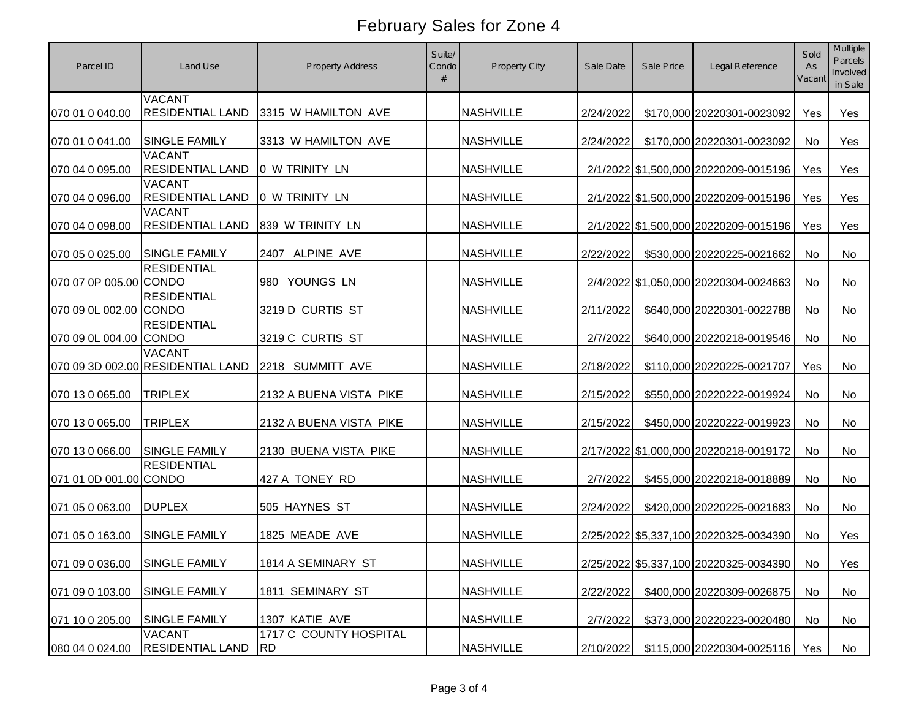| Parcel ID                     | Land Use                                           | <b>Property Address</b>                   | Suite/<br>Condo | <b>Property City</b> | Sale Date | Sale Price | Legal Reference                        | Sold<br>As<br>Vacant | <b>Multiple</b><br>Parcels<br>Involved<br>in Sale |
|-------------------------------|----------------------------------------------------|-------------------------------------------|-----------------|----------------------|-----------|------------|----------------------------------------|----------------------|---------------------------------------------------|
| 070 01 0 040.00               | <b>VACANT</b><br><b>RESIDENTIAL LAND</b>           | 3315 W HAMILTON AVE                       |                 | <b>NASHVILLE</b>     | 2/24/2022 |            | \$170,000 20220301-0023092             | Yes                  | Yes                                               |
| 070 01 0 041.00               | <b>SINGLE FAMILY</b>                               | 3313 W HAMILTON AVE                       |                 | <b>NASHVILLE</b>     | 2/24/2022 |            | \$170,000 20220301-0023092             | No                   | Yes                                               |
| 070 04 0 095.00               | <b>VACANT</b><br><b>RESIDENTIAL LAND</b>           | 0 W TRINITY LN                            |                 | <b>NASHVILLE</b>     |           |            | 2/1/2022 \$1,500,000 20220209-0015196  | Yes                  | Yes                                               |
| 070 04 0 096.00               | <b>VACANT</b><br><b>RESIDENTIAL LAND</b>           | 0 W TRINITY LN                            |                 | <b>NASHVILLE</b>     |           |            | 2/1/2022 \$1,500,000 20220209-0015196  | Yes                  | Yes                                               |
| 070 04 0 098.00               | <b>VACANT</b><br><b>RESIDENTIAL LAND</b>           | 839 W TRINITY LN                          |                 | <b>NASHVILLE</b>     |           |            | 2/1/2022 \$1,500,000 20220209-0015196  | Yes                  | Yes                                               |
| 070 05 0 025.00               | <b>SINGLE FAMILY</b>                               | 2407 ALPINE AVE                           |                 | <b>NASHVILLE</b>     | 2/22/2022 |            | \$530,000 20220225-0021662             | No                   | No                                                |
| 070 07 0P 005.00 CONDO        | <b>RESIDENTIAL</b>                                 | 980 YOUNGS LN                             |                 | <b>NASHVILLE</b>     |           |            | 2/4/2022 \$1,050,000 20220304-0024663  | No                   | No                                                |
| 070 09 0L 002.00 CONDO        | <b>RESIDENTIAL</b>                                 | 3219 D CURTIS ST                          |                 | <b>NASHVILLE</b>     | 2/11/2022 |            | \$640,000 20220301-0022788             | No                   | No                                                |
| 070 09 0L 004.00 CONDO        | <b>RESIDENTIAL</b>                                 | 3219 C CURTIS ST                          |                 | <b>NASHVILLE</b>     | 2/7/2022  |            | \$640,000 20220218-0019546             | No                   | No                                                |
|                               | <b>VACANT</b><br>070 09 3D 002.00 RESIDENTIAL LAND | 2218 SUMMITT AVE                          |                 | <b>NASHVILLE</b>     | 2/18/2022 |            | \$110,000 20220225-0021707             | Yes                  | No                                                |
| 070 13 0 065.00               | <b>TRIPLEX</b>                                     | 2132 A BUENA VISTA PIKE                   |                 | <b>NASHVILLE</b>     | 2/15/2022 |            | \$550,000 20220222-0019924             | No                   | No                                                |
| 070 13 0 065.00               | <b>TRIPLEX</b>                                     | 2132 A BUENA VISTA PIKE                   |                 | <b>NASHVILLE</b>     | 2/15/2022 |            | \$450,000 20220222-0019923             | <b>No</b>            | <b>No</b>                                         |
| 070 13 0 066.00               | <b>SINGLE FAMILY</b>                               | 2130 BUENA VISTA PIKE                     |                 | <b>NASHVILLE</b>     |           |            | 2/17/2022 \$1,000,000 20220218-0019172 | <b>No</b>            | <b>No</b>                                         |
| 071 01 0D 001.00 CONDO        | <b>RESIDENTIAL</b>                                 | 427 A TONEY RD                            |                 | <b>NASHVILLE</b>     | 2/7/2022  |            | \$455,000 20220218-0018889             | <b>No</b>            | <b>No</b>                                         |
| 071 05 0 063.00               | <b>DUPLEX</b>                                      | 505 HAYNES ST                             |                 | <b>NASHVILLE</b>     | 2/24/2022 |            | \$420,000 20220225-0021683             | No                   | <b>No</b>                                         |
| 071 05 0 163.00               | <b>SINGLE FAMILY</b>                               | 1825 MEADE AVE                            |                 | <b>NASHVILLE</b>     |           |            | 2/25/2022 \$5,337,100 20220325-0034390 | No                   | Yes                                               |
| 071 09 0 036.00 SINGLE FAMILY |                                                    | 1814 A SEMINARY ST                        |                 | <b>NASHVILLE</b>     |           |            | 2/25/2022 \$5,337,100 20220325-0034390 | No                   | Yes                                               |
| 071 09 0 103.00               | <b>SINGLE FAMILY</b>                               | 1811 SEMINARY ST                          |                 | <b>NASHVILLE</b>     | 2/22/2022 |            | \$400,000 20220309-0026875             | No                   | No                                                |
| 071 10 0 205.00               | <b>SINGLE FAMILY</b>                               | 1307 KATIE AVE                            |                 | <b>NASHVILLE</b>     | 2/7/2022  |            | \$373,000 20220223-0020480             | No                   | No                                                |
| 080 04 0 024.00               | <b>VACANT</b><br><b>RESIDENTIAL LAND</b>           | 1717 C COUNTY HOSPITAL<br>RD <sub>.</sub> |                 | <b>NASHVILLE</b>     | 2/10/2022 |            | \$115,000 20220304-0025116   Yes       |                      | No                                                |